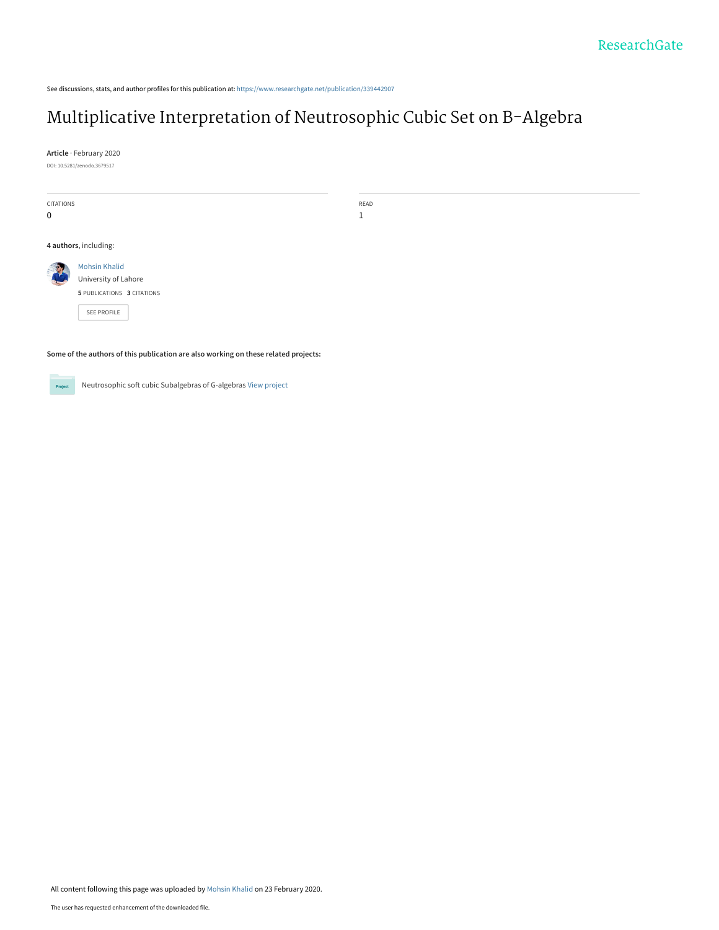See discussions, stats, and author profiles for this publication at: [https://www.researchgate.net/publication/339442907](https://www.researchgate.net/publication/339442907_Multiplicative_Interpretation_of_Neutrosophic_Cubic_Set_on_B-Algebra?enrichId=rgreq-84173ba17b89e8cc678c7aaa4f0ae54d-XXX&enrichSource=Y292ZXJQYWdlOzMzOTQ0MjkwNztBUzo4NjE4MDU0OTY3NjY0NzNAMTU4MjQ4MTg1MDMyNg%3D%3D&el=1_x_2&_esc=publicationCoverPdf)

# [Multiplicative Interpretation of Neutrosophic Cubic Set on B-Algebra](https://www.researchgate.net/publication/339442907_Multiplicative_Interpretation_of_Neutrosophic_Cubic_Set_on_B-Algebra?enrichId=rgreq-84173ba17b89e8cc678c7aaa4f0ae54d-XXX&enrichSource=Y292ZXJQYWdlOzMzOTQ0MjkwNztBUzo4NjE4MDU0OTY3NjY0NzNAMTU4MjQ4MTg1MDMyNg%3D%3D&el=1_x_3&_esc=publicationCoverPdf)

**Article** · February 2020 DOI: 10.5281/zenodo.3679517

CITATIONS

0

READ 1

**4 authors**, including:

[Mohsin Khalid](https://www.researchgate.net/profile/Mohsin_Khalid2?enrichId=rgreq-84173ba17b89e8cc678c7aaa4f0ae54d-XXX&enrichSource=Y292ZXJQYWdlOzMzOTQ0MjkwNztBUzo4NjE4MDU0OTY3NjY0NzNAMTU4MjQ4MTg1MDMyNg%3D%3D&el=1_x_5&_esc=publicationCoverPdf) [University of Lahore](https://www.researchgate.net/institution/University_of_Lahore?enrichId=rgreq-84173ba17b89e8cc678c7aaa4f0ae54d-XXX&enrichSource=Y292ZXJQYWdlOzMzOTQ0MjkwNztBUzo4NjE4MDU0OTY3NjY0NzNAMTU4MjQ4MTg1MDMyNg%3D%3D&el=1_x_6&_esc=publicationCoverPdf) **5** PUBLICATIONS **3** CITATIONS

[SEE PROFILE](https://www.researchgate.net/profile/Mohsin_Khalid2?enrichId=rgreq-84173ba17b89e8cc678c7aaa4f0ae54d-XXX&enrichSource=Y292ZXJQYWdlOzMzOTQ0MjkwNztBUzo4NjE4MDU0OTY3NjY0NzNAMTU4MjQ4MTg1MDMyNg%3D%3D&el=1_x_7&_esc=publicationCoverPdf)

**Some of the authors of this publication are also working on these related projects:**

Project

Neutrosophic soft cubic Subalgebras of G-algebras [View project](https://www.researchgate.net/project/Neutrosophic-soft-cubic-Subalgebras-of-G-algebras?enrichId=rgreq-84173ba17b89e8cc678c7aaa4f0ae54d-XXX&enrichSource=Y292ZXJQYWdlOzMzOTQ0MjkwNztBUzo4NjE4MDU0OTY3NjY0NzNAMTU4MjQ4MTg1MDMyNg%3D%3D&el=1_x_9&_esc=publicationCoverPdf)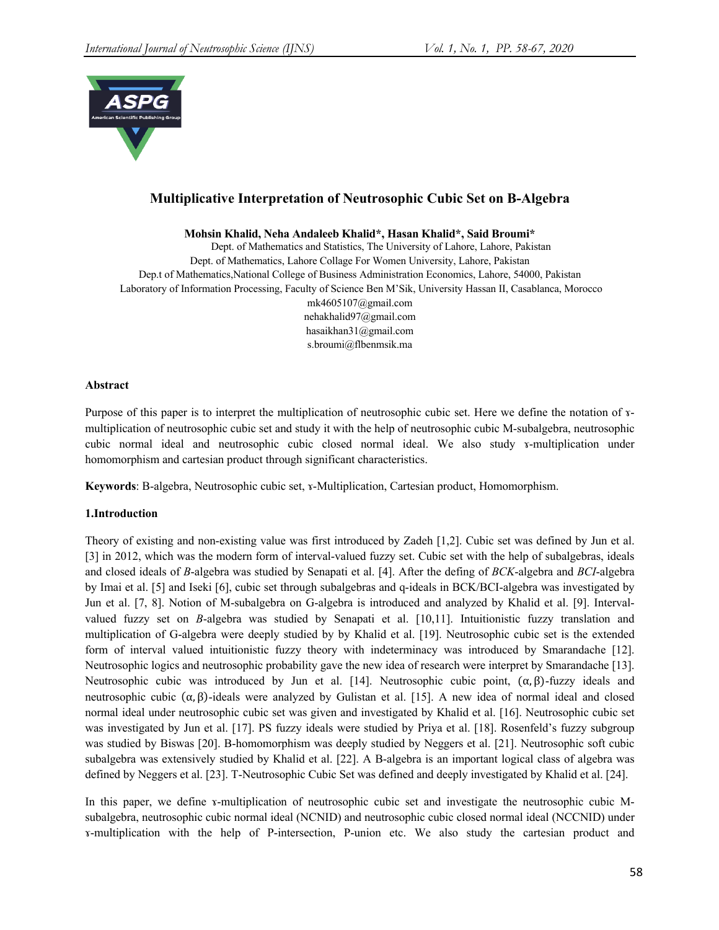

# **Multiplicative Interpretation of Neutrosophic Cubic Set on B-Algebra**

**Mohsin Khalid, Neha Andaleeb Khalid\*, Hasan Khalid\*, Said Broumi\***

Dept. of Mathematics and Statistics, The University of Lahore, Lahore, Pakistan Dept. of Mathematics, Lahore Collage For Women University, Lahore, Pakistan Dep.t of Mathematics,National College of Business Administration Economics, Lahore, 54000, Pakistan Laboratory of Information Processing, Faculty of Science Ben M'Sik, University Hassan II, Casablanca, Morocco mk4605107@gmail.com nehakhalid97@gmail.com hasaikhan31@gmail.com s.broumi@flbenmsik.ma

# **Abstract**

Purpose of this paper is to interpret the multiplication of neutrosophic cubic set. Here we define the notation of ɤmultiplication of neutrosophic cubic set and study it with the help of neutrosophic cubic M-subalgebra, neutrosophic cubic normal ideal and neutrosophic cubic closed normal ideal. We also study ɤ-multiplication under homomorphism and cartesian product through significant characteristics.

**Keywords**: B-algebra, Neutrosophic cubic set, ɤ-Multiplication, Cartesian product, Homomorphism.

# **1.Introduction**

Theory of existing and non-existing value was first introduced by Zadeh [1,2]. Cubic set was defined by Jun et al. [3] in 2012, which was the modern form of interval-valued fuzzy set. Cubic set with the help of subalgebras, ideals and closed ideals of *B*-algebra was studied by Senapati et al. [4]. After the defing of *BCK*-algebra and *BCI*-algebra by Imai et al. [5] and Iseki [6], cubic set through subalgebras and q-ideals in BCK/BCI-algebra was investigated by Jun et al. [7, 8]. Notion of M-subalgebra on G-algebra is introduced and analyzed by Khalid et al. [9]. Intervalvalued fuzzy set on *B*-algebra was studied by Senapati et al. [10,11]. Intuitionistic fuzzy translation and multiplication of G-algebra were deeply studied by by Khalid et al. [19]. Neutrosophic cubic set is the extended form of interval valued intuitionistic fuzzy theory with indeterminacy was introduced by Smarandache [12]. Neutrosophic logics and neutrosophic probability gave the new idea of research were interpret by Smarandache [13]. Neutrosophic cubic was introduced by Jun et al. [14]. Neutrosophic cubic point,  $(α, β)$ -fuzzy ideals and neutrosophic cubic  $(α, β)$ -ideals were analyzed by Gulistan et al. [15]. A new idea of normal ideal and closed normal ideal under neutrosophic cubic set was given and investigated by Khalid et al. [16]. Neutrosophic cubic set was investigated by Jun et al. [17]. PS fuzzy ideals were studied by Priya et al. [18]. Rosenfeld's fuzzy subgroup was studied by Biswas [20]. B-homomorphism was deeply studied by Neggers et al. [21]. Neutrosophic soft cubic subalgebra was extensively studied by Khalid et al. [22]. A B-algebra is an important logical class of algebra was defined by Neggers et al. [23]. T-Neutrosophic Cubic Set was defined and deeply investigated by Khalid et al. [24].

In this paper, we define *x*-multiplication of neutrosophic cubic set and investigate the neutrosophic cubic Msubalgebra, neutrosophic cubic normal ideal (NCNID) and neutrosophic cubic closed normal ideal (NCCNID) under ɤ-multiplication with the help of P-intersection, P-union etc. We also study the cartesian product and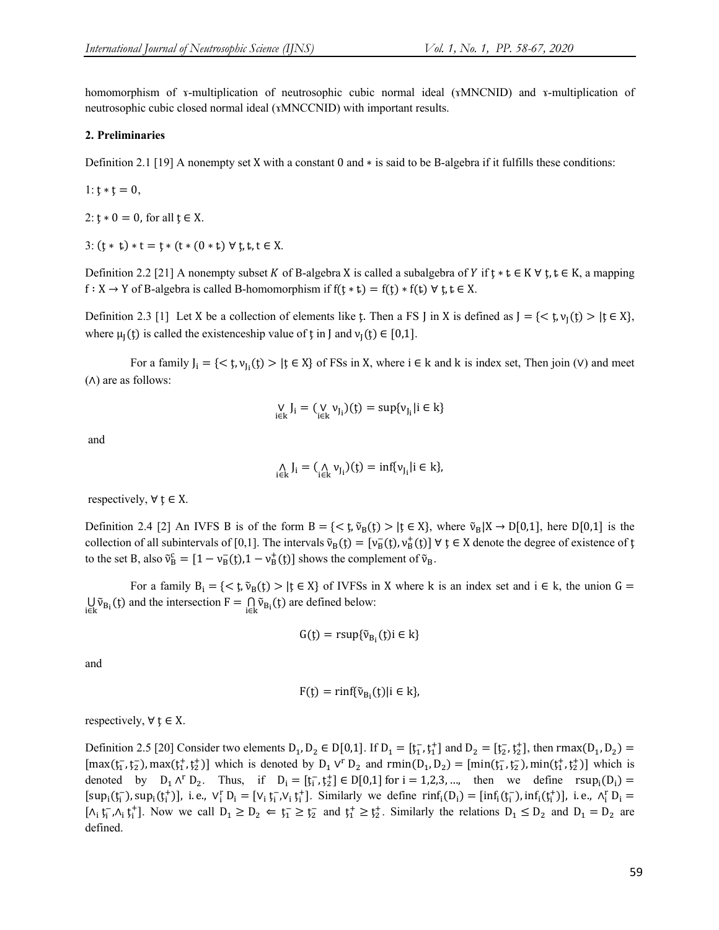homomorphism of ɤ-multiplication of neutrosophic cubic normal ideal (ɤMNCNID) and ɤ-multiplication of neutrosophic cubic closed normal ideal (ɤMNCCNID) with important results.

#### **2. Preliminaries**

Definition 2.1 [19] A nonempty set X with a constant 0 and ∗ is said to be B-algebra if it fulfills these conditions:

$$
l: \mathfrak{t} * \mathfrak{t} = 0,
$$

2:  $\mathfrak{t} * 0 = 0$ , for all  $\mathfrak{t} \in X$ .

3:  $(t * t) * t = t * (t * (0 * t) \forall t, t, t \in X$ .

Definition 2.2 [21] A nonempty subset K of B-algebra X is called a subalgebra of Y if  $\mathfrak{t} * \mathfrak{t} \in K \forall \mathfrak{t}, \mathfrak{t} \in K$ , a mapping  $f: X \to Y$  of B-algebra is called B-homomorphism if  $f(t * t) = f(t) * f(t) \forall t, t \in X$ .

Definition 2.3 [1] Let X be a collection of elements like  $\ddot{t}$ . Then a FS J in X is defined as  $J = \{ \langle \dot{t}, v_{\uparrow}(\dot{t}) \rangle | \dot{t} \in X \}$ , where  $\mu_1(t)$  is called the existenceship value of t in J and  $\nu_1(t) \in [0,1]$ .

For a family  $J_i = \{ \langle t, v_{j_i}(t) \rangle | t \in X \}$  of FSs in X, where  $i \in k$  and k is index set, Then join (V) and meet (∧) are as follows:

$$
\mathop {\text{V}}\limits_{i \in k} J_i = (\mathop {\text{V}}\limits_{i \in k} {\nu _{J_i}})(t) = \sup \{ {\nu _{J_i}}|i \in k\}
$$

and

$$
\underset{i\in k}{\wedge}J_i=(\underset{i\in k}{\wedge}\nu_{J_i})(\mathfrak{x})=\inf\{\nu_{J_i}|i\in k\},
$$

respectively,  $\forall$   $\mathbf{t} \in \mathbf{X}$ .

Definition 2.4 [2] An IVFS B is of the form  $B = \{ \langle \xi, \tilde{v}_B(\xi) \rangle | \xi \in X \}$ , where  $\tilde{v}_B[X \to D[0,1],$  here D[0,1] is the collection of all subintervals of [0,1]. The intervals  $\tilde{v}_B(t) = [v_B(t), v_B^+(t)] \forall t \in X$  denote the degree of existence of t to the set B, also  $\tilde{v}_B^c = [1 - v_B^-(t), 1 - v_B^+(t)]$  shows the complement of  $\tilde{v}_B$ .

For a family  $B_i = \{ \langle t, \tilde{v}_B(t) \rangle | t \in X \}$  of IVFSs in X where k is an index set and  $i \in k$ , the union  $G =$  $\bigcup_{i \in k} \tilde{v}_{B_i}(t)$  and the intersection  $F = \bigcap_{i \in k} \tilde{v}_{B_i}(t)$  are defined below:

$$
G(\mathfrak{x}) = \text{rsup}\{\tilde{v}_{B_i}(\mathfrak{x})\} \in k\}
$$

and

$$
F(t) = \min{\{\tilde{\nu}_{B_i}(t) | i \in k\}},
$$

respectively,  $\forall \xi \in X$ .

Definition 2.5 [20] Consider two elements  $D_1, D_2 \in D[0,1]$ . If  $D_1 = [t_1^-, t_1^+]$  and  $D_2 = [t_2^-, t_2^+]$ , then rmax $(D_1, D_2)$  $[\max(t_1^-, t_2^-), \max(t_1^+, t_2^+)]$  which is denoted by  $D_1 V^r D_2$  and  $\text{rmin}(D_1, D_2) = [\text{min}(t_1^-, t_2^+), \text{min}(t_1^+, t_2^+)]$  which is denoted by  $D_1 \wedge^r D_2$ . Thus, if  $D_i = [t_i^-, t_2^+] \in D[0,1]$  for  $i = 1,2,3,...$ , then we define  $rsup_i(D_i)$  $[sup_i(f_i^-), sup_i(f_i^+)]$ , i.e.,  $V_i^r D_i = [V_i f_i^-, V_i f_i^+]$ . Similarly we define  $rinf_i(D_i) = [inf_i(f_i^-), inf_i(f_i^+)]$ , i.e.,  $\Lambda_i^r D_i =$  $[\Lambda_i \, t_i^-, \Lambda_i \, t_i^+]$ . Now we call  $D_1 \geq D_2 \Leftarrow t_1^- \geq t_2^-$  and  $t_1^+ \geq t_2^+$ . Similarly the relations  $D_1 \leq D_2$  and  $D_1 = D_2$  are defined.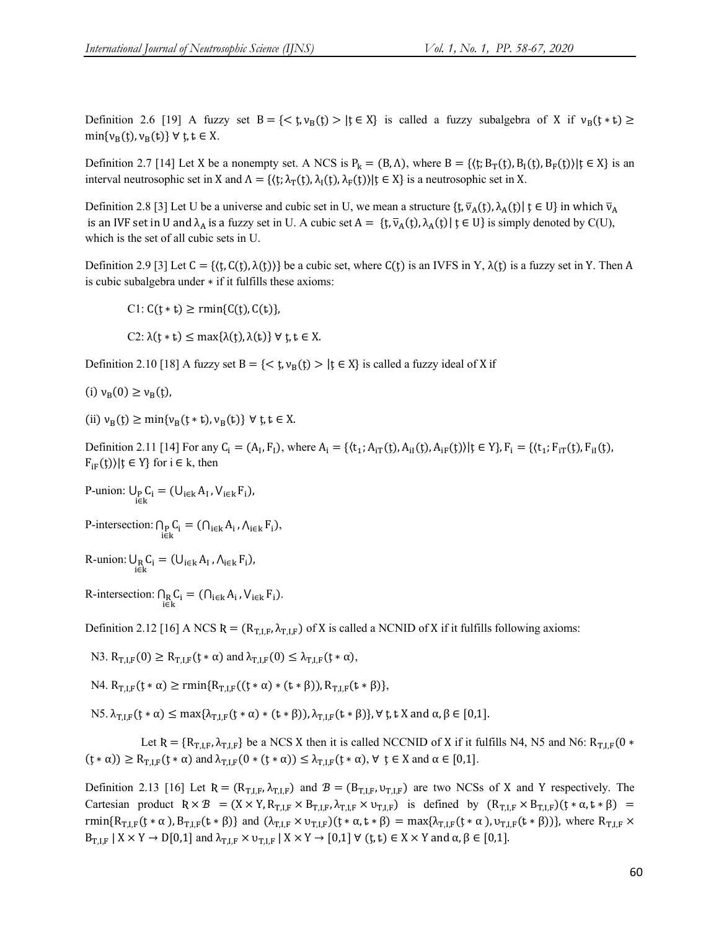Definition 2.6 [19] A fuzzy set  $B = \{ \langle t, v_B(t) \rangle | t \in X \}$  is called a fuzzy subalgebra of X if  $v_B(t * t) \ge$  $\min\{v_B(t), v_B(t)\}$   $\forall$   $t, t \in X$ .

Definition 2.7 [14] Let X be a nonempty set. A NCS is  $P_k = (B, \Lambda)$ , where  $B = \{(t; B_T(t), B_T(t), B_F(t)) | t \in X\}$  is an interval neutrosophic set in X and  $\Lambda = \{(\mathfrak{t}; \lambda_{\mathrm{T}}(\mathfrak{t}), \lambda_{\mathrm{F}}(\mathfrak{t})) | \mathfrak{t} \in X\}$  is a neutrosophic set in X.

Definition 2.8 [3] Let U be a universe and cubic set in U, we mean a structure  $\{\mathfrak{t}, \overline{v}_A(\mathfrak{t}), \lambda_A(\mathfrak{t}) | \mathfrak{t} \in U\}$  in which  $\overline{v}_A$ is an IVF set in U and  $\lambda_A$  is a fuzzy set in U. A cubic set  $A = \{f, \overline{v}_A(f), \lambda_A(f)\}\$   $\in U\}$  is simply denoted by C(U), which is the set of all cubic sets in U.

Definition 2.9 [3] Let  $C = \{ \langle \xi, C(\xi), \lambda(\xi) \rangle \}$  be a cubic set, where  $C(\xi)$  is an IVFS in Y,  $\lambda(\xi)$  is a fuzzy set in Y. Then A is cubic subalgebra under ∗ if it fulfills these axioms:

 $C1: C(t * t) \ge \text{rmin}\{C(t), C(t)\},$ 

C2:  $\lambda(t * t) \leq \max{\lambda(t), \lambda(t)} \forall t, t \in X$ .

Definition 2.10 [18] A fuzzy set B = { $\lt t$ ,  $v_B(t) > |t \in X$ } is called a fuzzy ideal of X if

$$
(i) v_B(0) \ge v_B(t),
$$

(ii)  $v_B(t) \ge \min\{v_B(t * t), v_B(t)\}$   $\forall$   $t, t \in X$ .

Definition 2.11 [14] For any C<sub>i</sub> = (A<sub>1</sub>, F<sub>1</sub>), where  $A_i = \{(t_1; A_{iT}(t), A_{iT}(t)) | t \in Y\}$ ,  $F_i = \{(t_1; F_{iT}(t), F_{iT}(t), F_{iT}(t)) | t \in Y\}$  $F_{iF}(t)$ }| $t \in Y$ } for  $i \in k$ , then

P-union:  $\bigcup_{p} C_i = (\bigcup_{i \in k} A_i, V_{i \in k} F_i)$ ,

P-intersection:  $\bigcap_{i \in k} C_i = (\bigcap_{i \in k} A_i, \bigwedge_{i \in k} F_i),$ 

R-union:  $\bigcup_{\substack{\mathbf{i} \in \mathbf{k} \\ \mathbf{i} \in \mathbf{k}}} C_{\mathbf{i}} = (\bigcup_{\substack{\mathbf{i} \in \mathbf{k} \\ \mathbf{A}_{\mathbf{i}}} \bigwedge_{\substack{\mathbf{i} \in \mathbf{k} \\ \mathbf{i} \in \mathbf{k}}} F_{\mathbf{i}}),$ 

R-intersection:  $\bigcap_{i \in k} C_i = (\bigcap_{i \in k} A_i, V_{i \in k} F_i).$ 

Definition 2.12 [16] A NCS  $R = (R_{T,I,F}, \lambda_{T,I,F})$  of X is called a NCNID of X if it fulfills following axioms:

N3.  $R_{TIF}(0) \geq R_{TIF}(t * \alpha)$  and  $\lambda_{TIF}(0) \leq \lambda_{TIF}(t * \alpha)$ ,

N4. R<sub>TIF</sub>(t ∗ α) ≥ rmin{R<sub>TIF</sub>((t ∗ α) ∗ (t ∗ β)), R<sub>TIF</sub>(t ∗ β)},

N5.  $\lambda_{\text{TIF}}(t * \alpha) \leq \max{\lambda_{\text{TIF}}(t * \alpha) * (t * \beta)}$ ,  $\lambda_{\text{TIF}}(t * \beta)$ ,  $\forall$  t, t X and  $\alpha, \beta \in [0,1]$ .

Let R = { $R_{T,IF}$ ,  $\lambda_{T,IF}$ } be a NCS X then it is called NCCNID of X if it fulfills N4, N5 and N6:  $R_{T,IF}(0 *$  $(t * \alpha) \ge R_{\text{TLF}}(t * \alpha)$  and  $\lambda_{\text{TLF}}(0 * (t * \alpha)) \le \lambda_{\text{TLF}}(t * \alpha)$ ,  $\forall$   $t \in X$  and  $\alpha \in [0,1]$ .

Definition 2.13 [16] Let  $R = (R_{T,I,F}, \lambda_{T,I,F})$  and  $B = (B_{T,I,F}, \nu_{T,I,F})$  are two NCSs of X and Y respectively. The Cartesian product  $R \times B = (X \times Y, R_{T,I,F} \times B_{T,I,F}, \lambda_{T,I,F} \times \nu_{T,I,F})$  is defined by  $(R_{T,I,F} \times B_{T,I,F})(t * \alpha, t * \beta) =$ rmin{R<sub>T,LF</sub>(t \* α), B<sub>T,LF</sub>(t \* β)} and  $(\lambda_{T,LF} \times v_{T,LF})(t * \alpha, t * \beta) = \max{\lambda_{T,LF}(t * \alpha)}$ ,  $v_{T,LF}(t * \beta)$ }, where R<sub>T,LF</sub> ×  $B_{T,I,F}$  |  $X \times Y \to D[0,1]$  and  $\lambda_{T,I,F} \times \nu_{T,I,F}$  |  $X \times Y \to [0,1]$   $\forall$  ( $t, t$ )  $\in X \times Y$  and  $\alpha, \beta \in [0,1]$ .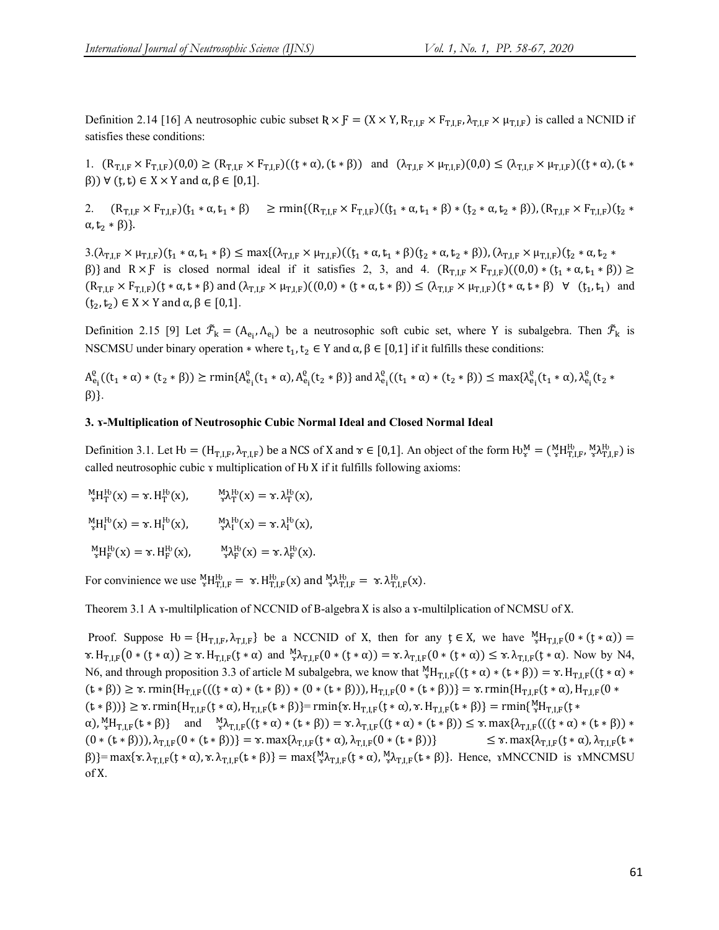Definition 2.14 [16] A neutrosophic cubic subset  $R \times F = (X \times Y, R_{T,I,F} \times F_{T,I,F}, \lambda_{T,I,F} \times \mu_{T,I,F})$  is called a NCNID if satisfies these conditions:

1.  $(R_{T,I,F} \times F_{T,I,F})(0,0) \geq (R_{T,I,F} \times F_{T,I,F})((t*\alpha),(t*\beta))$  and  $(\lambda_{T,I,F} \times \mu_{T,I,F})(0,0) \leq (\lambda_{T,I,F} \times \mu_{T,I,F})((t*\alpha),(t*\beta))$  $(β)$ ) ∀ (t, t) ∈ X × Y and α,  $β$  ∈ [0,1].

2.  $(R_{T,F} \times F_{T,F})(t_1 * \alpha, t_1 * \beta) \ge \text{rmin}\{(R_{T,F} \times F_{T,F})(t_1 * \alpha, t_1 * \beta) * (t_2 * \alpha, t_2 * \beta)\}, (R_{T,F} \times F_{T,F})(t_2 * \beta)$  $\alpha, t_2 * \beta$ ).

 $3.(\lambda_{\text{T,LF}} \times \mu_{\text{T,LF}})(t_1 * \alpha, t_1 * \beta) \leq \max\{(\lambda_{\text{T,LF}} \times \mu_{\text{T,LF}})((t_1 * \alpha, t_1 * \beta)(t_2 * \alpha, t_2 * \beta)), (\lambda_{\text{T,LF}} \times \mu_{\text{T,LF}})(t_2 * \alpha, t_2 * \beta) \}$ β)} and  $R \times F$  is closed normal ideal if it satisfies 2, 3, and 4.  $(R_{T,IF} \times F_{T,IF})((0,0) * (t_1 * \alpha, t_1 * \beta)) \ge$  $(R_{T,I,F}\times F_{T,I,F})(t*\alpha,t*\beta)$  and  $(\lambda_{T,I,F}\times \mu_{T,I,F})((0,0)*(t*\alpha,t*\beta)) \leq (\lambda_{T,I,F}\times \mu_{T,I,F})(t*\alpha,t*\beta)$   $\forall$   $(t_1,t_1)$  and  $(t_2, t_2) \in X \times Y$  and  $\alpha, \beta \in [0,1]$ .

Definition 2.15 [9] Let  $\tilde{\mathcal{F}}_k = (A_{e_i}, A_{e_i})$  be a neutrosophic soft cubic set, where Y is subalgebra. Then  $\tilde{\mathcal{F}}_k$  is NSCMSU under binary operation  $*$  where  $t_1, t_2 \in Y$  and  $\alpha, \beta \in [0,1]$  if it fulfills these conditions:

$$
A_{e_i}^{\varrho}((t_1 * \alpha) * (t_2 * \beta)) \ge \text{rmin}\{A_{e_i}^{\varrho}(t_1 * \alpha), A_{e_i}^{\varrho}(t_2 * \beta)\} \text{ and } \lambda_{e_i}^{\varrho}((t_1 * \alpha) * (t_2 * \beta)) \le \text{max}\{\lambda_{e_i}^{\varrho}(t_1 * \alpha), \lambda_{e_i}^{\varrho}(t_2 * \beta)\}.
$$

#### **3. ɤ-Multiplication of Neutrosophic Cubic Normal Ideal and Closed Normal Ideal**

Definition 3.1. Let  $H = (H_{T,I,F}, \lambda_{T,I,F})$  be a NCS of X and  $\tau \in [0,1]$ . An object of the form  $H_v^M = \binom{M}{\tau} H_{T,I,F}^H$ ,  $\binom{M}{\tau} H_{T,I,F}^H$ ,  $\binom{M}{\tau} H_{T,I,F}^H$ ,  $\binom{M}{\tau} H_{T,I,F}^H$ ,  $\binom{M}{\tau} H_{T,I,F}^H$ ,  $\binom{M}{\tau} H_{T,I,F}^H$ called neutrosophic cubic  $x$  multiplication of  $H(x)$  if it fulfills following axioms:

$$
\begin{array}{lll} {}^M_{{\mathbb T}}H^{\rm H}_T(x)=\gamma.H^{\rm H}_T(x), & \qquad {}^M_{{\mathbb T}}\lambda^{\rm H}_T(x)=\gamma.\lambda^{\rm H}_T(x),\\ {}^M_{{\mathbb T}}H^{\rm H}_I(x)=\gamma.H^{\rm H}_I(x), & \qquad {}^M_{{\mathbb T}}\lambda^{\rm H}_I(x)=\gamma.\lambda^{\rm H}_I(x),\\ {}^M_{{\mathbb T}}H^{\rm H}_F(x)=\gamma.H^{\rm H}_F(x), & \qquad {}^M_{{\mathbb T}}\lambda^{\rm H}_F(x)=\gamma.\lambda^{\rm H}_F(x). \end{array}
$$

For convinience we use  ${}_{\mathbf{x}}^{\mathbf{M}} H_{\mathbf{T},\mathbf{I},\mathbf{F}}^{\mathbf{B}} = \mathbf{x} \cdot H_{\mathbf{T},\mathbf{I},\mathbf{F}}^{\mathbf{B}}(\mathbf{x})$  and  ${}_{\mathbf{x}}^{\mathbf{M}} \lambda_{\mathbf{T},\mathbf{I},\mathbf{F}}^{\mathbf{B}} = \mathbf{x} \cdot \lambda_{\mathbf{T},\mathbf{I},\mathbf{F}}^{\mathbf{B}}(\mathbf{x})$ .

Theorem 3.1 A ɤ-multilplication of NCCNID of B-algebra X is also a ɤ-multilplication of NCMSU of X.

Proof. Suppose  $\mathcal{H} = \{H_{T,I,F}, \lambda_{T,I,F}\}\$ be a NCCNID of X, then for any  $\mathfrak{t} \in X$ , we have  ${}^M_{\mathfrak{t}}H_{T,I,F}(0*(\mathfrak{t}*\alpha)) =$  $\tau.H_{T,I,F}(0*(t*\alpha)) \geq \tau.H_{T,I,F}(t*\alpha)$  and  ${}^M_{\tau} \lambda_{T,I,F}(0*(t*\alpha)) = \tau.\lambda_{T,I,F}(0*(t*\alpha)) \leq \tau.\lambda_{T,I,F}(t*\alpha)$ . Now by N4, N6, and through proposition 3.3 of article M subalgebra, we know that  ${}_{\tau}^{M}H_{T,I,F}((t*\alpha)*(t*\beta)) = \tau.H_{T,I,F}((t*\alpha)*$  $(\iota * \beta)$ )  $\geq \tau$ . rmin{H<sub>T,LF</sub>((( $(\iota * \alpha) * (\iota * \beta)$ ) \* (0 \* ( $(\iota * \beta)$ )), H<sub>T,LF</sub>(0 \* ( $(\iota * \beta)$ )} =  $\tau$ . rmin{H<sub>T,LF</sub>( $\iota * \alpha$ ), H<sub>T,LF</sub>(0 \*  $(\mathbf{t} * \beta))$ }  $\geq \mathbf{\tau}$ . rmin $\{H_{T,I,F}(\mathbf{t} * \alpha), H_{T,I,F}(\mathbf{t} * \beta)\}$  = rmin $\{\mathbf{x}, H_{T,I,F}(\mathbf{t} * \alpha), \mathbf{x}, H_{T,I,F}(\mathbf{t} * \beta)\}$  = rmin $\{\mathbf{x}, H_{T,I,F}(\mathbf{t} * \alpha)\}$  $\alpha$ ),  ${}_{\alpha}^{M}H_{T,I,F}(t*\beta)$  and  ${}_{\alpha}^{M}\lambda_{T,I,F}((t*\alpha)*(t*\beta)) = \alpha.\lambda_{T,I,F}((t*\alpha)*(t*\beta)) \leq \alpha.\max\{\lambda_{T,I,F}(((t*\alpha)*(t*\beta))\}$  $(0 * (t * \beta))$ ,  $\lambda_{T,I,F}(0 * (t * \beta))$ } =  $\tau$ . max{ $\lambda_{T,I,F}(t * \alpha)$ ,  $\lambda_{T,I,F}(0 * (t * \beta))$ } ≤  $\tau$ . max{ $\lambda_{T,I,F}(t * \alpha)$ ,  $\lambda_{T,I,F}(t * \alpha)$ β)}= max{ $\mathbf{x}$ . λ<sub>T,I,F</sub>( $\mathbf{t} * \alpha$ ),  $\mathbf{x}$ . λ<sub>T,I,F</sub>( $\mathbf{t} * \beta$ )} = max{ ${}^M_{\mathbf{x}}\lambda_{\text{T,I,F}}(\mathbf{t} * \alpha)$ ,  ${}^M_{\mathbf{x}}\lambda_{\text{T,I,F}}(\mathbf{t} * \beta)$ }. Hence,  $\mathbf{x}$ MNCCNID is  $\mathbf{x}$ MNCMSU of X.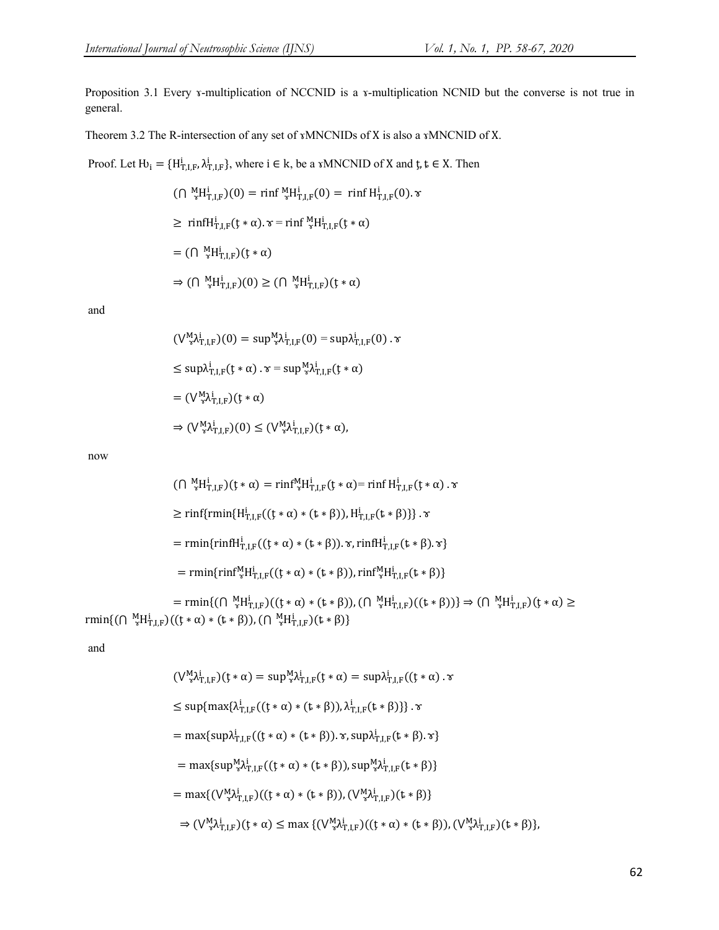Proposition 3.1 Every *x*-multiplication of NCCNID is a *x*-multiplication NCNID but the converse is not true in general.

Theorem 3.2 The R-intersection of any set of **xMNCNIDs** of X is also a **xMNCNID** of X.

Proof. Let  $H_1 = \{H_{T,I,F}^i, \lambda_{T,I,F}^i\}$ , where  $i \in k$ , be a  $xMNCNID$  of X and  $t, t \in X$ . Then

$$
(\bigcap \, \, {}^M_{\mathcal{F}} H^i_{T,I,F})(0) = \min f \, {}^M_{\mathcal{F}} H^i_{T,I,F}(0) = \min f \, H^i_{T,I,F}(0). \mathcal{\tau}
$$
\n
$$
\geq \min f H^i_{T,I,F}(t * \alpha). \mathcal{\tau} = \min f \, {}^M_{\mathcal{F}} H^i_{T,I,F}(t * \alpha)
$$
\n
$$
= (\bigcap \, {}^M_{\mathcal{F}} H^i_{T,I,F})(t * \alpha)
$$
\n
$$
\Rightarrow (\bigcap \, {}^M_{\mathcal{F}} H^i_{T,I,F})(0) \geq (\bigcap \, {}^M_{\mathcal{F}} H^i_{T,I,F})(t * \alpha)
$$

and

$$
(\bigvee_{\mathcal{F}}^{M}\lambda_{T,I,F}^{i})(0) = \sup_{\mathcal{F}}^{M}\lambda_{T,I,F}^{i}(0) = \sup_{\lambda_{T,I,F}^{i}}(0) \cdot \mathcal{F}
$$
  
\n
$$
\leq \sup_{\lambda_{T,I,F}^{i}}(f * \alpha) \cdot \mathcal{F} = \sup_{\mathcal{F}}^{M}\lambda_{T,I,F}^{i}(f * \alpha)
$$
  
\n
$$
= (\bigvee_{\mathcal{F}}^{M}\lambda_{T,I,F}^{i})(f * \alpha)
$$
  
\n
$$
\Rightarrow (\bigvee_{\mathcal{F}}^{M}\lambda_{T,I,F}^{i})(0) \leq (\bigvee_{\mathcal{F}}^{M}\lambda_{T,I,F}^{i})(f * \alpha),
$$

now

$$
(\bigcap \, {}^{M}_{3}H^{i}_{T,I,F})(t*\alpha) = \min {}^{M}_{3}H^{i}_{T,I,F}(t*\alpha) = \min {}^{H}_{T,I,F}(t*\alpha) . \times
$$
\n
$$
\geq \min \{ \min \{ H^{i}_{T,I,F}((t*\alpha)*(t*\beta)), H^{i}_{T,I,F}(t*\beta) \} . \times
$$
\n
$$
= \min \{ \min \{ H^{i}_{T,I,F}((t*\alpha)*(t*\beta)) . \times, \min \{ H^{i}_{T,I,F}(t*\beta) . \times \} \}
$$
\n
$$
= \min \{ \min \{ \min {}^{M}_{3}H^{i}_{T,I,F}((t*\alpha)*(t*\beta)), \min {}^{M}_{3}H^{i}_{T,I,F}(t*\beta) \}
$$
\n
$$
= \min \{ (\bigcap \, {}^{M}_{3}H^{i}_{T,I,F})((t*\alpha)*(t*\beta)), (\bigcap \, {}^{M}_{3}H^{i}_{T,I,F})((t*\beta)) \} \Rightarrow (\bigcap \, {}^{M}_{3}H^{i}_{T,I,F})(t*\alpha) \ge
$$
\n
$$
\min \{ (\bigcap \, {}^{M}_{3}H^{i}_{T,I,F})((t*\alpha)*(t*\beta)), (\bigcap \, {}^{M}_{3}H^{i}_{T,I,F})(t*\beta) \}
$$

and

$$
(\bigvee_{\nu}^{M} \lambda_{T,I,F}^{i})(t * \alpha) = \sup_{\nu}^{M} \lambda_{T,I,F}^{i}(t * \alpha) = \sup_{\nu} \lambda_{T,I,F}^{i}((t * \alpha) \cdot \alpha)
$$
  
\n
$$
\leq \sup\{\max\{\lambda_{T,I,F}^{i}((t * \alpha) * (t * \beta)), \lambda_{T,I,F}^{i}(t * \beta)\}\}\cdot \alpha
$$
  
\n
$$
= \max\{\sup_{\nu} \lambda_{T,I,F}^{i}((t * \alpha) * (t * \beta)). \alpha, \sup_{\nu} \lambda_{T,I,F}^{i}(t * \beta).\alpha\}
$$
  
\n
$$
= \max\{\sup_{\nu} \lambda_{T,I,F}^{M}((t * \alpha) * (t * \beta)), \sup_{\nu} \lambda_{T,I,F}^{M}((t * \beta))\}
$$
  
\n
$$
= \max\{(\bigvee_{\nu}^{M} \lambda_{T,I,F}^{i})(t * \alpha) * (t * \beta)), (\bigvee_{\nu}^{M} \lambda_{T,I,F}^{i})(t * \beta)\}
$$
  
\n
$$
\Rightarrow (\bigvee_{\nu}^{M} \lambda_{T,I,F}^{i})(t * \alpha) \leq \max\{(\bigvee_{\nu}^{M} \lambda_{T,I,F}^{i})(t * \alpha) * (t * \beta)), (\bigvee_{\nu}^{M} \lambda_{T,I,F}^{i})(t * \beta)\},
$$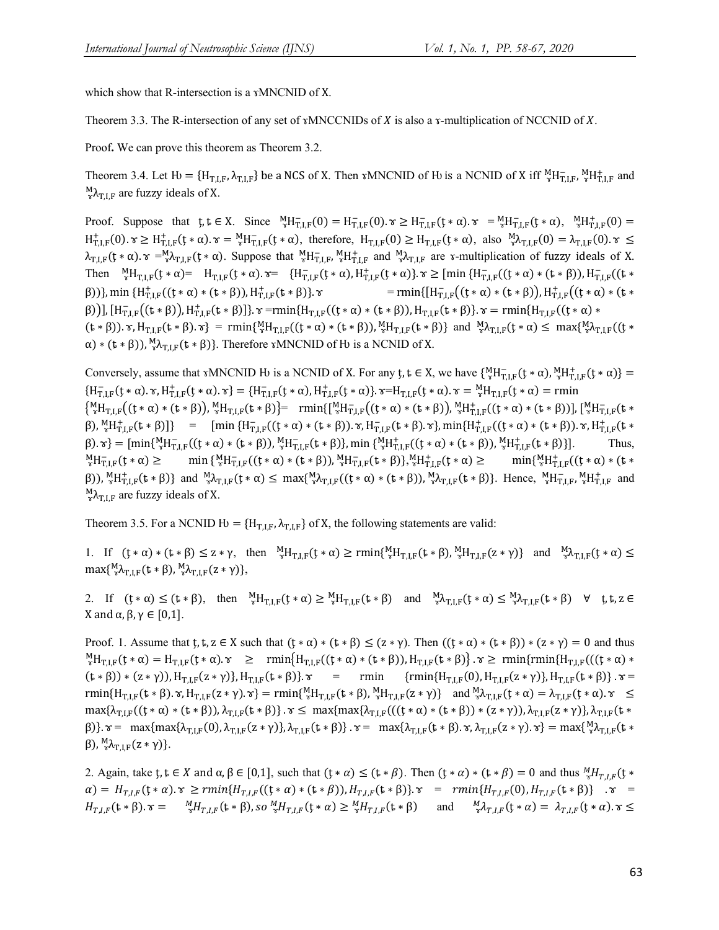which show that R-intersection is a γMNCNID of X.

Theorem 3.3. The R-intersection of any set of  $x$ MNCCNIDs of  $X$  is also a  $x$ -multiplication of NCCNID of  $X$ .

Proof**.** We can prove this theorem as Theorem 3.2.

Theorem 3.4. Let  $\mathcal{H} = \{H_{T,I,F}, \lambda_{T,I,F}\}$  be a NCS of X. Then  $\mathcal{M}NCNID$  of  $\mathcal{H}$  is a NCNID of X iff  ${}^M_{\mathcal{H}}H_{T,I,F}^{\mathcal{H}}, {}^M_{\mathcal{H}^T,I,F}$  and  ${}_{\mathcal{D}}^{\mathsf{M}}\lambda_{\mathsf{T},\mathsf{I},\mathsf{F}}$  are fuzzy ideals of X.

Proof. Suppose that  $\mathfrak{t}, \mathfrak{t} \in X$ . Since  ${}^M_{\mathfrak{t}} H_{\mathfrak{t},I,F}^-(0) = H_{\mathfrak{t},I,F}^-(0)$ .  $\mathfrak{t} \geq H_{\mathfrak{t},I,F}^-(\mathfrak{t} \ast \alpha)$ .  $\mathfrak{t} = {}^M_{\mathfrak{t}} H_{\mathfrak{t},I,F}^-(\mathfrak{t} \ast \alpha)$ ,  ${}^M_{\mathfrak{t}} H_{\mathfrak{t},I,F}^+(0) =$  $H^+_{T,LF}(0)$ .  $\gamma \ge H^+_{T,LF}(t * \alpha)$ .  $\gamma = {}^M_HH^-_{T,LF}(t * \alpha)$ , therefore,  $H_{T,LF}(0) \ge H_{T,LF}(t * \alpha)$ , also  ${}^M_A\lambda_{T,LF}(0) = \lambda_{T,LF}(0)$ .  $\gamma \le H^-_{T,LF}(t * \alpha)$  $\lambda_{T,I,F}(t*\alpha)$ .  $\tau = M_{\tau,I,F}(t*\alpha)$ . Suppose that  $M_{T,I,F}^M M_{T,I,F}^+$  and  $M_{\tau,I,F}^M$  are  $\tau$ -multiplication of fuzzy ideals of X. Then  ${}^M_{\tau}H_{T,I,F}(t*\alpha) = H_{T,I,F}(t*\alpha) \cdot \tau = \{H_{T,I,F}^-(t*\alpha), H_{T,I,F}^+(t*\alpha)\} \cdot \tau \geq \text{[min }\{H_{T,I,F}^-(t*\alpha)* (t*\beta)), H_{T,I,F}^-(t*\alpha)\}$ β))}, min {H<sup>+</sup><sub>T.LF</sub>((t \* α) \* (t \* β)), H<sup>+</sup><sub>T.LF</sub>(t \* β)}.  $\tau$  = rmin{[H<sub>T,LF</sub>((t \* α) \* (t \* β)), H<sup>+</sup><sub>T,LF</sub>((t \* α) \* (t \* β)],  $[H_{T,IF}^-( (t * β)), H_{T,IF}^+(t * β)]$ .  $\gamma$  =rmin{H<sub>T,IF</sub>((t \* α) \* (t \* β)), H<sub>T,IF</sub>(t \* β)}.  $\gamma$  = rmin{H<sub>T,IF</sub>((t \* α) \*  $(t * \beta)$ ).  $\tau$ ,  $H_{T,I,F}(t * \beta)$ .  $\tau$ } = rmin{ ${}^{M}_{\tau}H_{T,I,F}((t * \alpha) * (t * \beta))$ ,  ${}^{M}_{\tau}H_{T,I,F}(t * \beta)$ } and  ${}^{M}_{\tau}A_{T,I,F}(t * \alpha) \leq \max\{{}^{M}_{\tau}A_{T,I,F}((t * \beta) * (t * \beta))\}$  $\alpha$ ) \* ( $\mathbf{t} * \beta$ )),  ${}_{\alpha}^{M} \lambda_{T,I,F}(\mathbf{t} * \beta)$ . Therefore  $\alpha$ MNCNID of H is a NCNID of X.

Conversely, assume that  $xMNCNID H$  is a NCNID of X. For any  $t, t \in X$ , we have  $\{ {}^{M}_{x}H^{-}_{T,I,F}(t * \alpha)$ ,  ${}^{M}_{x}H^{+}_{T,I,F}(t * \alpha) \}$  =  ${H_{T,I,F}^{-} (t * \alpha)} \cdot \tau, H_{T,I,F}^{+} (t * \alpha) \cdot \tau} = {H_{T,I,F}^{-} (t * \alpha)}, H_{T,I,F}^{+} (t * \alpha)} \cdot \tau = H_{T,I,F}^{-} (t * \alpha) \cdot \tau = {^M_H}_{T,I,F} (t * \alpha) = \text{rmin}$  ${\mathbb{R}}_{\pi}^{M}H_{T,I,F}((t*\alpha)*(t*\beta)), {\mathbb{R}}_{T,I,F}(t*\beta)$  =  $\text{ rmin}({\mathbb{M}}_{\pi}^{M}H_{T,I,F}^{-}((t*\alpha)*(t*\beta)), {\mathbb{M}}_{T,I,F}^{M}((t*\alpha)*(t*\beta))$ ,  ${\mathbb{M}}_{T,I,F}(t*\alpha)$  $\{\beta\}_{\gamma}^{M}H^{+}_{T,I,F}(t*\beta)]\} = [\min\{H^{-}_{T,I,F}((t*\alpha)*(t*\beta)). \tau, H^{-}_{T,I,F}(t*\beta).\tau\}, \min\{H^{+}_{T,I,F}((t*\alpha)*(t*\beta)). \tau, H^{+}_{T,I,F}(t*\beta))\}]$  $\beta$ ).  $\tau$ } = [min{ ${}_{\tau}^{M}H_{T,I,F}^{-}((t*\alpha)*(t*\beta))$ ,  ${}_{\tau}^{M}H_{T,I,F}^{-}((t*\alpha)*(t*\beta))$ ,  ${}_{\tau}^{M}H_{T,I,F}^{+}((t*\beta))$ ,  ${}_{\tau}^{M}H_{T,I,F}^{+}(t*\beta)$ ]. Thus,  ${}_{\mathrm{x}}^{\mathrm{M}}$ H<sub>TLF</sub>(t \*  $\alpha$ )  $\geq$  $\overline{T}_{T,LF}(t*\alpha) \geq \min\{ {}^{M}_{\tau}H^{-}_{T,LF}((t*\alpha)*(t*\beta)), {}^{M}_{\tau}H^{-}_{T,LF}(t*\beta) \} , {}^{M}_{\tau}H^{+}_{T,LF}(t*\alpha) \geq \min\{ {}^{M}_{\tau}H^{+}_{T,LF}(t*\alpha)\} ,$  $\min\{\frac{M_{\rm H}}{r_{\rm T}}\}_{\rm F}^+ ((t*\alpha)* (t*\alpha))$  $(\beta)$ ,  ${}_{\gamma}^{M}H^{+}_{T,I,F}(t*\beta)$  and  ${}_{\gamma}^{M}\lambda_{T,I,F}(t*\alpha) \leq \max\{{}_{\gamma}^{M}\lambda_{T,I,F}((t*\alpha)*(t*\beta))$ ,  ${}_{\gamma}^{M}\lambda_{T,I,F}(t*\beta)$ . Hence,  ${}_{\gamma}^{M}H^{-}_{T,I,F}$ ,  ${}_{\gamma}^{M}H^{+}_{T,I,F}$  and  ${}_{\mathcal{D}}^{\mathsf{M}}\lambda_{\mathsf{T},\mathsf{I},\mathsf{F}}$  are fuzzy ideals of X.

Theorem 3.5. For a NCNID  $H = {H_{T,I,F}, \lambda_{T,I,F}}$  of X, the following statements are valid:

1. If  $(t * \alpha) * (t * \beta) \leq z * \gamma$ , then  ${}^M_H_{T,I,F}(t * \alpha) \geq \text{rmin} \{ {}^M_H_{T,I,F}(t * \beta)$ ,  ${}^M_H_{T,I,F}(z * \gamma) \}$  and  ${}^M_A_{T,I,F}(t * \alpha) \leq$  $\max\{\frac{M}{r}\lambda_{T,I,F}(t*\beta),\frac{M}{r}\lambda_{T,I,F}(z*\gamma)\},\$ 

2. If  $(t * \alpha) \leq (t * \beta)$ , then  ${}^M_{\alpha}H_{T,LF}(t * \alpha) \geq {}^M_{\alpha}H_{T,LF}(t * \beta)$  and  ${}^M_{\alpha}A_{T,LF}(t * \alpha) \leq {}^M_{\alpha}A_{T,LF}(t * \beta)$   $\forall$  t, t, z  $\in$ X and  $\alpha$ ,  $\beta$ ,  $\gamma \in [0,1]$ .

Proof. 1. Assume that  $t, t, z \in X$  such that  $(t * \alpha) * (t * \beta) \leq (z * \gamma)$ . Then  $((t * \alpha) * (t * \beta)) * (z * \gamma) = 0$  and thus  ${}^M_{\tau}H_{T,I,F}(t*\alpha) = H_{T,I,F}(t*\alpha) \cdot \tau \geq \min\{H_{T,I,F}((t*\alpha)*(t*\beta)),H_{T,I,F}(t*\beta)\} \cdot \tau \geq \min\{\min\{H_{T,I,F}(((t*\alpha)*\beta)),H_{T,I,F}((t*\beta))\} \cdot \tau \geq \tau\}$  $(t * \beta) * (z * \gamma)$ ,  $H_{T,I,F}(z * \gamma)$ ,  $H_{T,I,F}(t * \beta)$ .  $\tau = \text{rmin} \quad \{ \text{rmin} \{ H_{T,I,F}(0), H_{T,I,F}(z * \gamma) \}$ ,  $H_{T,I,F}(t * \beta)$ .  $\tau =$  $\text{rmin}\{H_{T,I,F}(t*\beta), \gamma, H_{T,I,F}(z*\gamma), \gamma\} = \text{rmin}\{\gamma_{T,I,F}(t*\beta), \gamma_{T,I,F}(z*\gamma)\}$  and  $\gamma_{T,I,F}(t*\alpha) = \lambda_{T,I,F}(t*\alpha)$ .  $\gamma \leq$  $\max\{\lambda_{T,LF}((t*\alpha)*(t*\beta)),\lambda_{T,LF}(t*\beta)\}\cdot \alpha \leq \max\{\max\{\lambda_{T,LF}(((t*\alpha)*(t*\beta))*(z*\gamma)),\lambda_{T,LF}(z*\gamma)\},\lambda_{T,LF}(t*\beta))\}$ β)}.  $\tau = \max\{\max\{\lambda_{T,I,F}(0), \lambda_{T,I,F}(z*\gamma)\}, \lambda_{T,I,F}(t*\beta)\}.$   $\tau = \max\{\lambda_{T,I,F}(t*\beta).$   $\tau, \lambda_{T,I,F}(z*\gamma).$   $\tau\} = \max\{\frac{M}{r}\lambda_{T,I,F}(t*\beta).$ β),  ${}_{\gamma}^{M} \lambda_{T,I,F}(z*\gamma)$ .

2. Again, take  $t, t \in X$  and  $\alpha, \beta \in [0,1]$ , such that  $(t * \alpha) \le (t * \beta)$ . Then  $(t * \alpha) * (t * \beta) = 0$  and thus  ${}^M_xH_{T,I,F}(t * \beta)$  $\alpha) = H_{T,l,F}(\mathfrak{t} * \alpha) \cdot \mathfrak{r} \geq r \min\{H_{T,l,F}(\mathfrak{t} * \alpha) * (\mathfrak{t} * \beta)), H_{T,l,F}(\mathfrak{t} * \beta)\} \cdot \mathfrak{r} = r \min\{H_{T,l,F}(0), H_{T,l,F}(\mathfrak{t} * \beta)\} \cdot \mathfrak{r} =$  $H_{T,I,F}(\mathbf{t} * \beta)$ .  $\mathbf{x} = \mathcal{H}_{T,I,F}(\mathbf{t} * \beta)$ , so  ${}_{\mathbf{x}}^M H_{T,I,F}(\mathbf{t} * \alpha) \ge {}_{\mathbf{x}}^M H_{T,I,F}(\mathbf{t} * \beta)$  and  ${}_{\mathbf{x}}^M \lambda_{T,I,F}(\mathbf{t} * \alpha) = \lambda_{T,I,F}(\mathbf{t} * \alpha)$ .  $\mathbf{x} \leq$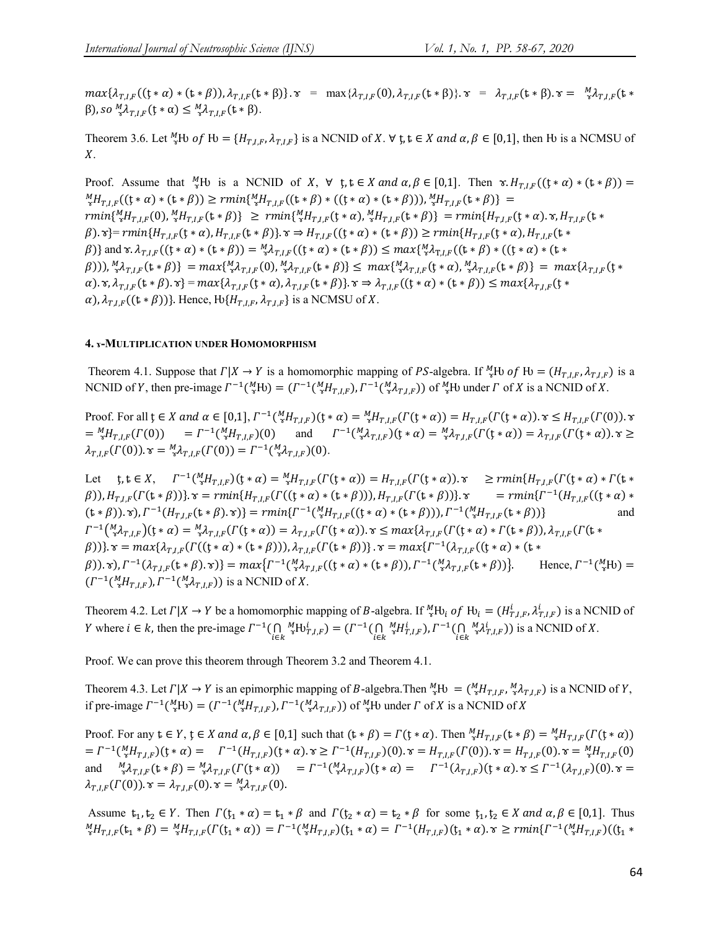$max{\{\lambda_{T,l,F}((t*\alpha)*(t*\beta)),\lambda_{T,l,F}(t*\beta)\}}$ .  $\alpha = max{\{\lambda_{T,l,F}(0),\lambda_{T,l,F}(t*\beta)\}}$ .  $\alpha = \lambda_{T,l,F}(t*\beta)$ .  $\alpha = \lambda_{T,l,F}(t*\beta)$ .  $\alpha = \lambda_{T,l,F}(t*\beta)$ β), so  ${}^M_{\gamma}\lambda_{T,I,F}(\mathfrak{t}*\alpha) \leq {}^M_{\gamma}\lambda_{T,I,F}(\mathfrak{t}*\beta)$ .

Theorem 3.6. Let  ${}^M_{\tilde{x}}$ Hv of Hv = { $H_{T,I,F}$ ,  $\lambda_{T,I,F}$ } is a NCNID of X.  $\forall$  t,  $t \in X$  and  $\alpha, \beta \in [0,1]$ , then Hv is a NCMSU of  $X_{\cdot}$ 

Proof. Assume that  ${}^M_{\gamma}H^{\gamma}$  is a NCNID of X,  $\forall$  t,  $t \in X$  and  $\alpha, \beta \in [0,1]$ . Then  $\gamma$ .  $H_{T,I,F}((t * \alpha) * (t * \beta)) =$  ${}^M_{\tau}H_{T,I,F}((\xi*\alpha)*(t*\beta)) \geq rmin\{{}^M_{\tau}H_{T,I,F}((t*\beta)*((t*\alpha)*(t*\beta))), {}^M_{\tau}H_{T,I,F}(t*\beta)\}$  =  $rmin\{\frac{M}{8}H_{T,I,F}(0),\frac{M}{8}H_{T,I,F}(t*\beta)\}\geq rmin\{\frac{M}{8}H_{T,I,F}(t*\alpha),\frac{M}{8}H_{T,I,F}(t*\beta)\}=rmin\{H_{T,I,F}(t*\alpha),\kappa,H_{T,I,F}(t*\alpha)\}$  $\beta$ ).  $\mathbf{x}$ }=  $rmin\{H_{T,I,F}(\mathbf{t} * \alpha), H_{T,I,F}(\mathbf{t} * \beta)\}\$ .  $\mathbf{x} \Rightarrow H_{T,I,F}((\mathbf{t} * \alpha) * (\mathbf{t} * \beta)) \geq rmin\{H_{T,I,F}(\mathbf{t} * \alpha), H_{T,I,F}(\mathbf{t} * \beta)\}\$  $\{\beta\}$  and  $\mathbf{x}. \lambda_{T,I,F}((\mathbf{y} * \alpha) * (\mathbf{z} * \beta)) = \frac{M}{\mathbf{x}} \lambda_{T,I,F}((\mathbf{y} * \alpha) * (\mathbf{z} * \beta)) \leq \max\{\frac{M}{\mathbf{x}} \lambda_{T,I,F}((\mathbf{z} * \beta) * ((\mathbf{z} * \alpha) * (\mathbf{z} * \beta))\}$  $(\beta)$ )),  ${}^M_{\gamma} \lambda_{T,I,F}(\mathbf{t} * \beta)$  =  $max\{{}^M_{\gamma} \lambda_{T,I,F}(\mathbf{0}), {}^M_{\gamma} \lambda_{T,I,F}(\mathbf{t} * \beta)\}$  =  $max\{\lambda_{T,I,F}(\mathbf{t} * \beta)\}$  =  $max\{\lambda_{T,I,F}(\mathbf{t} * \beta)\}$  =  $max\{\lambda_{T,I,F}(\mathbf{t} * \beta)\}$  =  $max\{\lambda_{T,I,F}(\mathbf{t} * \beta)\}$  =  $max\{\lambda_{T,I,F}(\mathbf{t} * \beta)\}$  =  $max\{\lambda$  $\alpha)$ .  $\alpha$ ,  $\lambda_{T,I,F}(\mathbf{t} * \beta)$ .  $\alpha$ } =  $max\{\lambda_{T,I,F}(\mathbf{t} * \alpha), \lambda_{T,I,F}(\mathbf{t} * \beta)\}\$ .  $\alpha \Rightarrow \lambda_{T,I,F}((\mathbf{t} * \alpha) * (\mathbf{t} * \beta)) \leq max\{\lambda_{T,I,F}(\mathbf{t} * \beta)\}\$  $\alpha$ ),  $\lambda_{T,I,F}$  (( $\mathbf{t} * \beta$ ))}. Hence,  $\mathbf{H} \{ H_{T,I,F}, \lambda_{T,I,F} \}$  is a NCMSU of X.

#### **4. ɤ-MULTIPLICATION UNDER HOMOMORPHISM**

Theorem 4.1. Suppose that  $\Gamma | X \to Y$  is a homomorphic mapping of PS-algebra. If  ${}^M_{\gamma}$ Hv of Hv =  $(H_{T,I,F}, \lambda_{T,I,F})$  is a NCNID of Y, then pre-image  $\Gamma^{-1}({}^M_{\gamma}H_{U}) = (\Gamma^{-1}({}^M_{\gamma}H_{T,I,F}), \Gamma^{-1}({}^M_{\gamma}A_{T,I,F}))$  of  ${}^M_{\gamma}H_{U}$  under  $\Gamma$  of X is a NCNID of X.

Proof. For all  $\mathfrak{t} \in X$  and  $\alpha \in [0,1], \Gamma^{-1}(\frac{M}{\alpha}H_{T,I,F})(\mathfrak{t} * \alpha) = \frac{M}{\alpha}H_{T,I,F}(\Gamma(\mathfrak{t} * \alpha)) = H_{T,I,F}(\Gamma(\mathfrak{t} * \alpha))$ .  $\gamma \leq H_{T,I,F}(\Gamma(0))$ .  $\gamma$  $=\frac{M}{s}H_{T,I,F}(\Gamma(0)) = \Gamma^{-1}(\frac{M}{s}H_{T,I,F})(0)$  and  $\Gamma^{-1}(\frac{M}{s}\lambda_{T,I,F})(t * \alpha) = \frac{M}{s}\lambda_{T,I,F}(\Gamma(t * \alpha)) = \lambda_{T,I,F}(\Gamma(t * \alpha)).$   $\alpha \geq$  $\lambda_{T,I,F}(\Gamma(0))$ .  $\tau = {}_{\tau}^M \lambda_{T,I,F}(\Gamma(0)) = \Gamma^{-1}({}_{\tau}^M \lambda_{T,I,F})(0).$ 

Let  $\phi, \phi \in X$ ,  $\Gamma^{-1}(\frac{M}{s}H_{T,I,F})(\phi \ast \alpha) = {}_{s}^{M}H_{T,I,F}(\Gamma(\phi \ast \alpha)) = H_{T,I,F}(\Gamma(\phi \ast \alpha))$ .  $\gamma \geq rmin\{H_{T,I,F}(\Gamma(\phi \ast \alpha)) \ast \Gamma(\phi \ast \alpha)\}$  $(\beta)$ ),  $H_{T,LF}(\Gamma(\mathbf{t} * \beta))$ .  $\mathbf{v} = rmin\{H_{T,LF}(\Gamma((\mathbf{t} * \alpha) * (\mathbf{t} * \beta)))\}$ .  $\mathbf{v} = rmin\{\Gamma^{-1}(H_{T,LF}((\mathbf{t} * \alpha) * \mathbf{t} * \beta))\}$ .  $(\mathbf{t} * \beta)$ .  $\mathbf{\hat{v}}$ ,  $\Gamma^{-1}(H_{T,I,F}(\mathbf{t} * \beta). \mathbf{\hat{v}})$  =  $rmin\{\Gamma^{-1}(\mathbf{M}_{\mathbf{x}}H_{T,I,F}((\mathbf{t} * \alpha) * (\mathbf{t} * \beta))), \Gamma^{-1}(\mathbf{M}_{\mathbf{x}}H_{T,I,F}(\mathbf{t} * \beta))\}$  and S\î ɤ ° ¢,£,§ï(ţ ∗ ) = ɤ ° ¢,£,§((ţ ∗ )) = ¢,£,§((ţ ∗ )). ɤ ≤ {¢,£,§((ţ ∗ ) ∗ (ȶ ∗ )), ¢,£,§((ȶ ∗  $(\beta)$ )}.  $\mathbf{r} = max\{\lambda_{T,LF}(\Gamma((\mathbf{t} * \alpha) * (\mathbf{t} * \beta)))\}, \lambda_{T,LF}(\Gamma(\mathbf{t} * \beta))\}.$   $\mathbf{r} = max\{\Gamma^{-1}(\lambda_{T,LF}((\mathbf{t} * \alpha) * (\mathbf{t} * \beta)))\},\$  $(\beta)$ ).  $\mathbf{\hat{r}}$ ),  $\Gamma^{-1}(\lambda_{T,I,F}(\mathbf{t} * \beta), \mathbf{\hat{r}})$  =  $max\{ \Gamma^{-1}(\mathbf{M} \lambda_{T,I,F}((\mathbf{t} * \alpha) * (\mathbf{t} * \beta)), \Gamma^{-1}(\mathbf{M} \lambda_{T,I,F}(\mathbf{t} * \beta))\}.$  Hence,  $\Gamma^{-1}(\mathbf{M} \mathbf{H})$  =  $(\Gamma^{-1}(\,^M_{\tilde{X}}H_{T,I,F}), \Gamma^{-1}(\,^M_{\tilde{X}}\lambda_{T,I,F}))$  is a NCNID of X.

Theorem 4.2. Let  $\Gamma | X \to Y$  be a homomorphic mapping of B-algebra. If  ${}^M_{\alpha}H_{v_i}$  of  $H_{v_i} = (H_{T,I,F}^i, \lambda_{T,I,F}^i)$  is a NCNID of *Y* where *i* ∈ *k*, then the pre-image  $\Gamma^{-1}(\bigcap_{i \in k} \Gamma)^{-1}$  ${}_{\mathcal{X}}^M\text{H}\text{U}_{T,I,F}^i$ ) =  $(\Gamma^{-1}(\bigcap_{i\in k})$  ${}_{\mathcal{R}}^M H_{T,I,F}^i$ ,  $\Gamma^{-1}(\bigcap_{i\in k} {}_{\mathcal{R}}^M \mathcal{X}_{T,I,F}^i)$  is a NCNID of X.

Proof. We can prove this theorem through Theorem 3.2 and Theorem 4.1.

Theorem 4.3. Let  $\Gamma | X \to Y$  is an epimorphic mapping of B-algebra. Then  ${}^M_{\gamma}F^M = ({}^M_{\gamma}H_{T,I,F}, {}^M_{\gamma}A_{T,I,F})$  is a NCNID of Y, if pre-image  $\Gamma^{-1}({}^M_{\alpha}H_0) = (\Gamma^{-1}({}^M_{\alpha}H_{T,I,F}), \Gamma^{-1}({}^M_{\alpha}A_{T,I,F}))$  of  ${}^M_{\alpha}H_0$  under  $\Gamma$  of  $X$  is a NCNID of  $X$ 

Proof. For any  $t \in Y$ ,  $t \in X$  and  $\alpha, \beta \in [0,1]$  such that  $(t * \beta) = \Gamma(t * \alpha)$ . Then  ${}^M_H \pi_{I,F}(t * \beta) = {}^M_H \pi_{I,F}(t^*(t * \alpha))$  $=\Gamma^{-1}(\frac{M}{\alpha}H_{T,I,F})(\xi * \alpha) = \Gamma^{-1}(H_{T,I,F})(\xi * \alpha). \ \tau \geq \Gamma^{-1}(H_{T,I,F})(0). \ \tau = H_{T,I,F}(\Gamma(0)). \ \tau = H_{T,I,F}(0). \ \tau = \frac{M}{\alpha}H_{T,I,F}(0).$ and  $\begin{array}{ll}\nM_{\lambda}A_{T,I,F}(t*\beta) = M_{\lambda}A_{T,I,F}(T(t*\alpha)) \\
= \Gamma^{-1}(M_{\lambda}A_{T,I,F})(t*\alpha) = \Gamma^{-1}(\lambda_{T,I,F})(t*\alpha) . \quad \text{and} \quad M_{\lambda}A_{T,I,F}(t*\beta) = M_{\lambda}A_{T,I,F}(T(t*\alpha))\n\end{array}$  $\lambda_{T J F}(\Gamma(0))$ .  $\tau = \lambda_{T J F}(0)$ .  $\tau = \frac{M}{\gamma} \lambda_{T J F}(0)$ .

Assume  $t_1, t_2 \in Y$ . Then  $\Gamma(t_1 * \alpha) = t_1 * \beta$  and  $\Gamma(t_2 * \alpha) = t_2 * \beta$  for some  $t_1, t_2 \in X$  and  $\alpha, \beta \in [0,1]$ . Thus  ${}_{\gamma}^{M}H_{T,I,F}(\mathbf{t}_{1} * \beta) = {}_{\gamma}^{M}H_{T,I,F}(\Gamma(\mathbf{t}_{1} * \alpha)) = \Gamma^{-1}({}_{\gamma}^{M}H_{T,I,F})(\mathbf{t}_{1} * \alpha) = \Gamma^{-1}(H_{T,I,F})(\mathbf{t}_{1} * \alpha) \cdot \mathbf{v} \geq rmin\{\Gamma^{-1}({}_{\gamma}^{M}H_{T,I,F})(\mathbf{t}_{1} * \alpha)\}$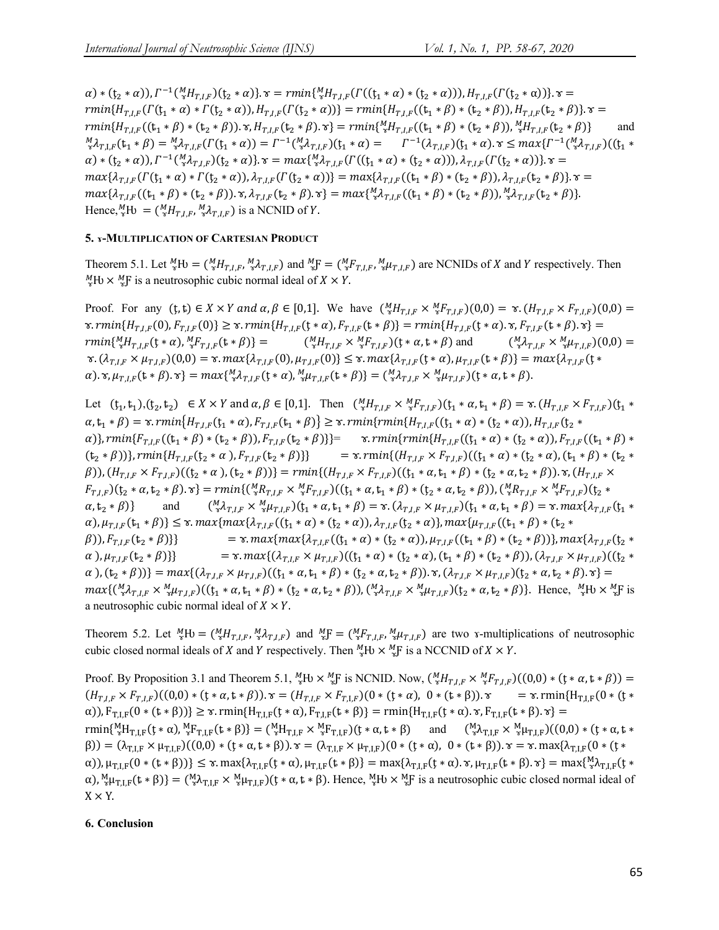$\alpha$ ) \*  $(\mathfrak{t}_{2} * \alpha)$ ),  $\Gamma^{-1}(\frac{M}{s}H_{T,I,F})(\mathfrak{t}_{2} * \alpha)$ }.  $\tau = rmin\{\frac{M}{s}H_{T,I,F}(\Gamma((\mathfrak{t}_{1} * \alpha) * (\mathfrak{t}_{2} * \alpha)))\}$ ,  $H_{T,I,F}(\Gamma(\mathfrak{t}_{2} * \alpha))$ }.  $\tau =$  $rmin{H_{T,I,F}(\Gamma(\mathfrak{t}_1 * \alpha) * \Gamma(\mathfrak{t}_2 * \alpha))}, H_{T,I,F}(\Gamma(\mathfrak{t}_2 * \alpha))\}= rmin{H_{T,I,F}(\mathfrak{t}_1 * \beta) * (\mathfrak{t}_2 * \beta))}, H_{T,I,F}(\mathfrak{t}_2 * \beta).$   $\alpha =$  $rmin\{H_{T,I,F}((t_1 * \beta) * (t_2 * \beta)). \tau, H_{T,I,F}(t_2 * \beta). \tau\} = rmin\{\frac{M_H}{r,I,F}((t_1 * \beta) * (t_2 * \beta)). \frac{M_H}{r,I,F}(t_2 * \beta)\}$  and  ${}_{\vec{x}}^M \lambda_{T,L,F}(\mathbf{t}_1 * \beta) = {}_{\vec{x}}^M \lambda_{T,L,F}(\Gamma(\mathbf{t}_1 * \alpha)) = \Gamma^{-1}({}^M_{\vec{x}} \lambda_{T,L,F})(\mathbf{t}_1 * \alpha) = \Gamma^{-1}(\lambda_{T,L,F})(\mathbf{t}_1 * \alpha) . \ \mathbf{x} \leq max\{\Gamma^{-1}({}^M_{\vec{x}} \lambda_{T,LF})(\mathbf{t}_1 * \alpha) \}$  $\alpha$ ) \*  $(t_2 * \alpha)$ ),  $\Gamma^{-1}(\frac{M}{2}\lambda_{T,I,F})(t_2 * \alpha)$ .  $\tau = max{\{\frac{M}{2}\lambda_{T,I,F}(\Gamma((t_1 * \alpha) * (t_2 * \alpha))) , \lambda_{T,I,F}(\Gamma(t_2 * \alpha))\}}$ .  $\tau =$  $max\{\lambda_{T,l,F}(\Gamma(\mathfrak{t}_{1} * \alpha) * \Gamma(\mathfrak{t}_{2} * \alpha))\}, \lambda_{T,l,F}(\Gamma(\mathfrak{t}_{2} * \alpha))\} = max\{\lambda_{T,l,F}((\mathfrak{t}_{1} * \beta) * (\mathfrak{t}_{2} * \beta)), \lambda_{T,l,F}(\mathfrak{t}_{2} * \beta)\}.$   $x =$  $max{\{\lambda_{T,I,F}((t_1 * \beta) * (t_2 * \beta)) \cdot \gamma, \lambda_{T,I,F}(t_2 * \beta) \cdot \gamma\}} = max{\{\lambda_{T,I,F}((t_1 * \beta) * (t_2 * \beta))\}, \frac{M}{3} \lambda_{T,I,F}(t_2 * \beta)\}}.$ Hence,  ${}^M_{\gamma}$ Hv =  $({}^M_{\gamma}H_{T,I,F}, {}^M_{\gamma}A_{T,I,F})$  is a NCNID of Y.

# **5. ɤ-MULTIPLICATION OF CARTESIAN PRODUCT**

Theorem 5.1. Let  ${}^M_{\gamma}$ Hv =  $({}^M_{\gamma}H_{T,I,F}, {}^M_{\gamma}A_{T,I,F})$  and  ${}^M_{\gamma}F = ({}^M_{\gamma}F_{T,I,F}, {}^M_{\gamma}A_{T,I,F})$  are NCNIDs of X and Y respectively. Then  ${}_{\gamma}^{M}$ Hv  $\times {}_{\gamma}^{M}$ F is a neutrosophic cubic normal ideal of  $X \times Y$ .

Proof. For any  $(t, t) \in X \times Y$  and  $\alpha, \beta \in [0, 1]$ . We have  $\binom{M}{x} H_{T, I, F} \times {}^{M}_{x} F_{T, I, F}$  $(0, 0) = \alpha$ .  $(H_{T, I, F} \times F_{T, I, F})$  $(0, 0) =$  $x. rmin\{H_{T,I,F}(0), F_{T,I,F}(0)\} \geq x. rmin\{H_{T,I,F}(t*\alpha), F_{T,I,F}(t*\beta)\} = rmin\{H_{T,I,F}(t*\alpha).x, F_{T,I,F}(t*\beta).x\} =$  $rmin\{^{M}_{\alpha}H_{T,I,F}(\mathfrak{t}*\alpha),^{M}_{\alpha}F_{T,I,F}(\mathfrak{t}*\beta)\} =$  ( $^{M}_{\alpha}$  $\binom{M}{\gamma} H_{T,I,F} \times \binom{M}{\gamma} F_{T,I,F}$   $(t * \alpha, t * \beta)$  and  $\binom{M}{\gamma} \lambda_{T,I,F} \times \binom{M}{\gamma} \mu_{T,I,F}$   $(0,0) =$  $\mathfrak{r}_\kappa(\lambda_{T,I,F}\times\mu_{T,I,F})(0,0)=\mathfrak{r}_\kappa max\{\lambda_{T,I,F}(0),\mu_{T,I,F}(0)\}\leq \mathfrak{r}_\kappa max\{\lambda_{T,I,F}(t*\alpha),\mu_{T,I,F}(t*\beta)\}=max\{\lambda_{T,I,F}(t*\alpha),\lambda_{T,I,F}(t*\alpha)\}$  $\alpha)$ .  $\mathbf{x}, \mu_{T,IF}(\mathbf{t} * \beta)$ .  $\mathbf{x}$ } =  $max\{\mathcal{M}_{T,IF}(\mathbf{t} * \alpha), \mathcal{M}_{T,IF}(\mathbf{t} * \beta)\} = (\mathcal{M}_{T,IF} \times \mathcal{M}_{T,IF})(\mathbf{t} * \alpha, \mathbf{t} * \beta).$ 

Let  $(t_1, t_1), (t_2, t_2) \in X \times Y$  and  $\alpha, \beta \in [0, 1]$ . Then  $\binom{M}{x} H_{T, I, F} \times \binom{M}{x} F_{T, I, F}$  $(t_1 * \alpha, t_1 * \beta) = \gamma \cdot (H_{T, I, F} \times F_{T, I, F}) (t_1 * \beta)$  $\alpha, t_1 * \beta = \alpha$ .  $rmin\{H_{T,I,F}(t_1 * \alpha), F_{T,I,F}(t_1 * \beta)\} \geq \alpha$ .  $rmin\{rmin\{H_{T,I,F}((t_1 * \alpha) * (t_2 * \alpha)), H_{T,I,F}(t_2 * \alpha)\}\}$  $\alpha$ )},  ${rmin} \{F_{TLF}((t_1 * \beta) * (t_2 * \beta)), F_{TLF}(t_2 * \beta)\}$  =  $\alpha$ .  ${rmin} \{rmin\{H_{TLF}((t_1 * \alpha) * (t_2 * \alpha)), F_{TLF}((t_1 * \beta) * (t_2 * \beta))\}$  $(\mathfrak{t}_2 * \beta))\}, rmin\{H_{T,I,F}(\mathfrak{t}_2 * \alpha), F_{T,I,F}(\mathfrak{t}_2 * \beta)\}\$  =  $\mathfrak{x}.rmin\{(H_{T,I,F} \times F_{T,I,F})((\mathfrak{t}_1 * \alpha) * (\mathfrak{t}_2 * \alpha), (\mathfrak{t}_1 * \beta) * (\mathfrak{t}_2 * \alpha)\})\}$  $(\beta)$ ),  $(H_{T,I,F} \times F_{T,I,F})((\xi_2 * \alpha), (\xi_2 * \beta))] = rmin\{(H_{T,I,F} \times F_{T,I,F})((\xi_1 * \alpha, \xi_1 * \beta) * (\xi_2 * \alpha, \xi_2 * \beta))\}\;$ .  $\gamma$ ,  $(H_{T,I,F} \times F_{T,I,F})$  $F_{T,I,F}$ )( $t_2 * \alpha, t_2 * \beta$ ).  $\mathbf{x}$ } =  $rmin\{(\frac{M}{2}R_{T,I,F} \times \frac{M}{2}F_{T,I,F})((t_1 * \alpha, t_1 * \beta) * (t_2 * \alpha, t_2 * \beta))$ ,  $(\frac{M}{2}R_{T,I,F} \times \frac{M}{2}F_{T,I,F})(t_2 * \alpha, t_1 * \beta)$  $\alpha, t_2 * \beta$ } and  $\binom{M}{3} \lambda_{T,I,F} \times \frac{M}{3} \mu_{T,I,F}$  $(t_1 * \alpha, t_1 * \beta) = \alpha \cdot (\lambda_{T,I,F} \times \mu_{T,I,F}) (t_1 * \alpha, t_1 * \beta) = \alpha \cdot max\{\lambda_{T,I,F}(t_1 * \beta, t_1 + \beta, t_2 + \beta, t_1 + \beta, t_2 + \beta, t_1 + \beta, t_2 + \beta, t_2 + \beta, t_2 + \beta, t_2 + \beta, t_1 + \beta, t_2 + \beta, t_1 + \beta, t_2 + \beta, t_1 + \beta, t$  $\alpha$ ),  $\mu_{T,I,F}(\mathbf{t}_1 * \beta) \leq \mathbf{x}$ .  $max\{max\{\lambda_{T,I,F}((\mathbf{t}_1 * \alpha) * (\mathbf{t}_2 * \alpha)), \lambda_{T,I,F}((\mathbf{t}_2 * \alpha)\}, max\{\mu_{T,I,F}((\mathbf{t}_1 * \beta) * (\mathbf{t}_2 * \alpha))\}, \lambda_{T,I,F}((\mathbf{t}_1 * \beta) * (\mathbf{t}_2 * \alpha))\})$  $\{\beta\}, F_{T,F}(\mathbf{t}_2 * \beta)\}$  =  $\mathbf{x}.max\{max\{\lambda_{T,F}((\mathbf{t}_1 * \alpha) * (\mathbf{t}_2 * \alpha)), \mu_{T,F}((\mathbf{t}_1 * \beta) * (\mathbf{t}_2 * \beta))\}, max\{\lambda_{T,F}(\mathbf{t}_2 * \beta)\}\}$  $\alpha$ ),  $\mu_{T,I,F}(t_2 * \beta)$ } =  $\tau$ .  $max\{(\lambda_{T,I,F} \times \mu_{T,I,F})((t_1 * \alpha) * (t_2 * \alpha), (t_1 * \beta) * (t_2 * \beta)), (\lambda_{T,I,F} \times \mu_{T,I,F})((t_2 * \alpha), (t_1 * \beta) * (t_2 * \beta)), (\lambda_{T,I,F} \times \mu_{T,I,F})((t_2 * \alpha), (t_1 * \beta) * (t_2 * \beta)), (\lambda_{T,I,F} \times \mu_{T,I,F})((t_2 * \alpha), (t_1 * \beta) * (t_2 * \beta)), (\lambda_{T,I,F} \times \mu$  $\{\alpha\}, (t_2 * \beta)\} = max\{(\lambda_{T,I,F} \times \mu_{T,I,F}) ((t_1 * \alpha, t_1 * \beta) * (t_2 * \alpha, t_2 * \beta)) \cdot \tau, (\lambda_{T,I,F} \times \mu_{T,I,F}) (t_2 * \alpha, t_2 * \beta) \cdot \tau\} = \tau$  $max\{({}^{M}_{\alpha}\lambda_{T,I,F} \times {}^{M}_{\alpha}\mu_{T,I,F})((t_{1} * \alpha, t_{1} * \beta) * (t_{2} * \alpha, t_{2} * \beta)),({}^{M}_{\alpha}\lambda_{T,I,F} \times {}^{M}_{\alpha}\mu_{T,I,F})(t_{2} * \alpha, t_{2} * \beta)\}.$  Hence,  ${}^{M}_{\alpha}$ Hv  $\times {}^{M}_{\alpha}$ F is a neutrosophic cubic normal ideal of  $X \times Y$ .

Theorem 5.2. Let  ${}^{M}_{\gamma}H$  =  $({}^{M}_{\gamma}H_{T,I,F},{}^{M}_{\gamma}A_{T,I,F})$  and  ${}^{M}_{\gamma}F = ({}^{M}_{\gamma}F_{T,I,F},{}^{M}_{\gamma}A_{T,I,F})$  are two *x*-multiplications of neutrosophic cubic closed normal ideals of X and Y respectively. Then  ${}^M_{\alpha}H\cup \times {}^M_{\alpha}F$  is a NCCNID of  $X \times Y$ .

Proof. By Proposition 3.1 and Theorem 5.1,  ${}^M_{\gamma}F_N \times {}^M_{\gamma}F$  is NCNID. Now,  $({}^M_{\gamma}H_{T,I,F} \times {}^M_{\gamma}F_{T,I,F})((0,0)*(t*\alpha,t*\beta))$  =  $(H_{T,I,F} \times F_{T,I,F})((0,0) * (t * \alpha, t * \beta))$ .  $\tau = (H_{T,I,F} \times F_{T,I,F})(0 * (t * \alpha), 0 * (t * \beta))$ .  $\tau = \tau$ . rmin{H<sub>T,LF</sub>(0 \* (t \*  $\alpha$ )),  $F_{TLF}(0 * (t * \beta)) \geq \alpha$ . rmin{H<sub>TLF</sub>( $t * \alpha$ ),  $F_{TLF}(t * \beta)$ } = rmin{H<sub>TLF</sub>( $t * \alpha$ ).  $\gamma$ ,  $F_{TLF}(t * \beta)$ .  $\gamma$ } =  $\text{rmin}\{\frac{M}{r}H_{T,LF}(t*\alpha), \frac{M}{r}F_{T,LF}(t*\beta)\} = (\frac{M}{r}H_{T,LF} \times \frac{M}{r}F_{T,LF})(t*\alpha, t*\beta)$  and  $(\frac{M}{r}\lambda_{T,LF} \times \frac{M}{r}\mu_{T,LF})((0,0) * (t*\alpha, t*\beta))$  $(β)$ ) = (λ<sub>T,LF</sub> × μ<sub>T,LF</sub>)((0,0) \* (ţ \* α, t \* β)).  $\mathbf{v} = (\lambda_{T,LF} \times \mu_{T,LF})(0*(\mathbf{y} * \alpha), 0*(\mathbf{z} * \beta))$ .  $\mathbf{v} = \mathbf{v}$ . max{λ<sub>T,LF</sub>(0 \* (ţ \*  $\alpha$ )),  $\mu_{T,I,F}(0*(t*\beta))\leq \gamma \cdot \max\{\lambda_{T,I,F}(t*\alpha), \mu_{T,I,F}(t*\beta)\} = \max\{\lambda_{T,I,F}(t*\alpha) \cdot \gamma, \mu_{T,I,F}(t*\beta) \cdot \gamma\} = \max\{\frac{M}{2}\lambda_{T,I,F}(t*\alpha)\}$  $\alpha$ ),  ${}_{\alpha}^{M}\mu_{T,I,F}(t*\beta)$  =  $({}_{\alpha}^{M}\lambda_{T,I,F} \times {}_{\alpha}^{M}\mu_{T,I,F})(t*\alpha, t*\beta)$ . Hence,  ${}_{\alpha}^{M}F_{J}\times {}_{\alpha}^{M}F$  is a neutrosophic cubic closed normal ideal of  $X \times Y$ .

# **6. Conclusion**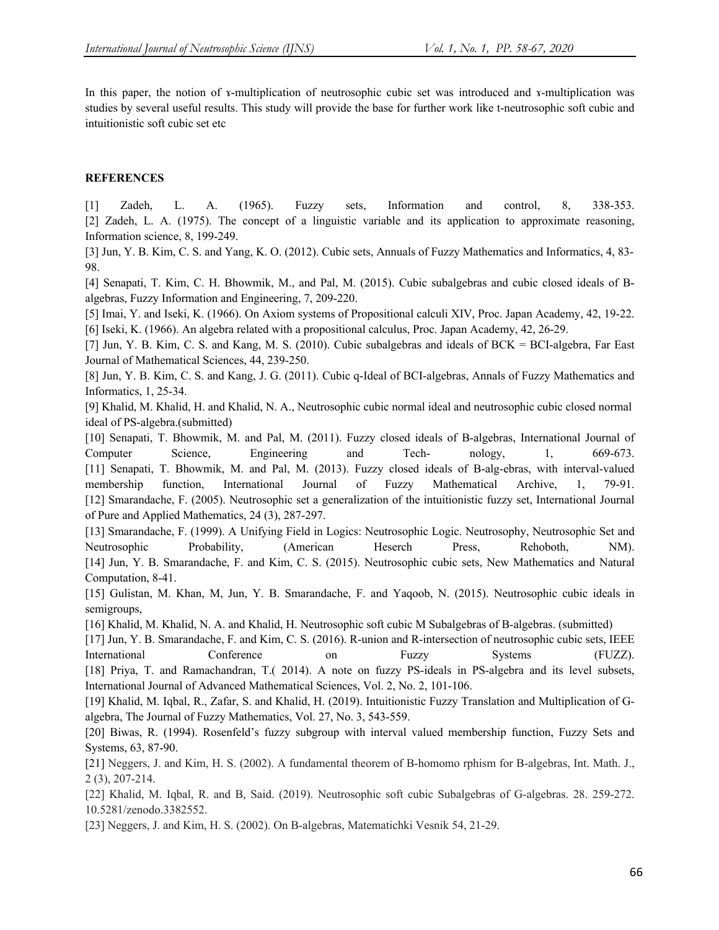In this paper, the notion of *x*-multiplication of neutrosophic cubic set was introduced and *x*-multiplication was studies by several useful results. This study will provide the base for further work like t-neutrosophic soft cubic and intuitionistic soft cubic set etc

# **REFERENCES**

[1] Zadeh, L. A. (1965). Fuzzy sets, Information and control, 8, 338-353. [2] Zadeh, L. A. (1975). The concept of a linguistic variable and its application to approximate reasoning, Information science, 8, 199-249.

[3] Jun, Y. B. Kim, C. S. and Yang, K. O. (2012). Cubic sets, Annuals of Fuzzy Mathematics and Informatics, 4, 83- 98.

[4] Senapati, T. Kim, C. H. Bhowmik, M., and Pal, M. (2015). Cubic subalgebras and cubic closed ideals of Balgebras, Fuzzy Information and Engineering, 7, 209-220.

[5] Imai, Y. and Iseki, K. (1966). On Axiom systems of Propositional calculi XIV, Proc. Japan Academy, 42, 19-22. [6] Iseki, K. (1966). An algebra related with a propositional calculus, Proc. Japan Academy, 42, 26-29.

[7] Jun, Y. B. Kim, C. S. and Kang, M. S. (2010). Cubic subalgebras and ideals of BCK = BCI-algebra, Far East Journal of Mathematical Sciences, 44, 239-250.

[8] Jun, Y. B. Kim, C. S. and Kang, J. G. (2011). Cubic q-Ideal of BCI-algebras, Annals of Fuzzy Mathematics and Informatics, 1, 25-34.

[9] Khalid, M. Khalid, H. and Khalid, N. A., Neutrosophic cubic normal ideal and neutrosophic cubic closed normal ideal of PS-algebra.(submitted)

[10] Senapati, T. Bhowmik, M. and Pal, M. (2011). Fuzzy closed ideals of B-algebras, International Journal of Computer Science, Engineering and Tech- nology, 1, 669-673. [11] Senapati, T. Bhowmik, M. and Pal, M. (2013). Fuzzy closed ideals of B-alg-ebras, with interval-valued membership function, International Journal of Fuzzy Mathematical Archive, 1, 79-91. [12] Smarandache, F. (2005). Neutrosophic set a generalization of the intuitionistic fuzzy set, International Journal of Pure and Applied Mathematics, 24 (3), 287-297.

[13] Smarandache, F. (1999). A Unifying Field in Logics: Neutrosophic Logic. Neutrosophy, Neutrosophic Set and Neutrosophic Probability, (American Heserch Press, Rehoboth, NM). [14] Jun, Y. B. Smarandache, F. and Kim, C. S. (2015). Neutrosophic cubic sets, New Mathematics and Natural Computation, 8-41.

[15] Gulistan, M. Khan, M, Jun, Y. B. Smarandache, F. and Yaqoob, N. (2015). Neutrosophic cubic ideals in semigroups,

[16] Khalid, M. Khalid, N. A. and Khalid, H. Neutrosophic soft cubic M Subalgebras of B-algebras. (submitted)

[17] Jun, Y. B. Smarandache, F. and Kim, C. S. (2016). R-union and R-intersection of neutrosophic cubic sets, IEEE International Conference on Fuzzy Systems (FUZZ). [18] Priya, T. and Ramachandran, T.( 2014). A note on fuzzy PS-ideals in PS-algebra and its level subsets,

International Journal of Advanced Mathematical Sciences, Vol. 2, No. 2, 101-106.

[19] Khalid, M. Iqbal, R., Zafar, S. and Khalid, H. (2019). Intuitionistic Fuzzy Translation and Multiplication of Galgebra, The Journal of Fuzzy Mathematics, Vol. 27, No. 3, 543-559.

[20] Biwas, R. (1994). Rosenfeld's fuzzy subgroup with interval valued membership function, Fuzzy Sets and Systems, 63, 87-90.

[21] Neggers, J. and Kim, H. S. (2002). A fundamental theorem of B-homomo rphism for B-algebras, Int. Math. J., 2 (3), 207-214.

[22] Khalid, M. Iqbal, R. and B, Said. (2019). Neutrosophic soft cubic Subalgebras of G-algebras. 28. 259-272. 10.5281/zenodo.3382552.

[23] Neggers, J. and Kim, H. S. (2002). On B-algebras, Matematichki Vesnik 54, 21-29.